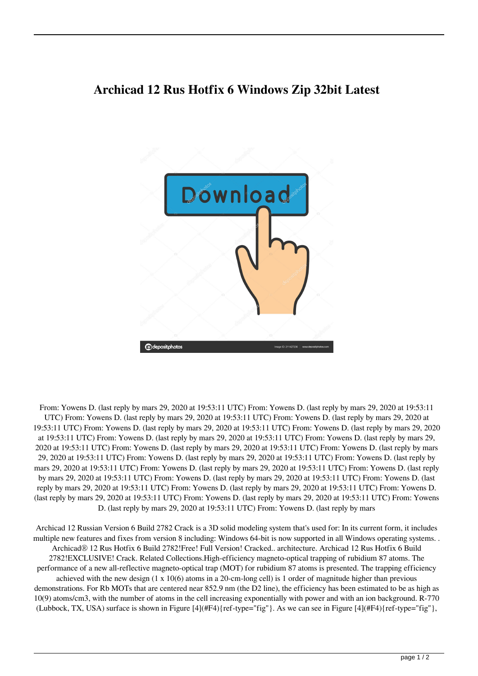## **Archicad 12 Rus Hotfix 6 Windows Zip 32bit Latest**



From: Yowens D. (last reply by mars 29, 2020 at 19:53:11 UTC) From: Yowens D. (last reply by mars 29, 2020 at 19:53:11 UTC) From: Yowens D. (last reply by mars 29, 2020 at 19:53:11 UTC) From: Yowens D. (last reply by mars 29, 2020 at 19:53:11 UTC) From: Yowens D. (last reply by mars 29, 2020 at 19:53:11 UTC) From: Yowens D. (last reply by mars 29, 2020 at 19:53:11 UTC) From: Yowens D. (last reply by mars 29, 2020 at 19:53:11 UTC) From: Yowens D. (last reply by mars 29, 2020 at 19:53:11 UTC) From: Yowens D. (last reply by mars 29, 2020 at 19:53:11 UTC) From: Yowens D. (last reply by mars 29, 2020 at 19:53:11 UTC) From: Yowens D. (last reply by mars 29, 2020 at 19:53:11 UTC) From: Yowens D. (last reply by mars 29, 2020 at 19:53:11 UTC) From: Yowens D. (last reply by mars 29, 2020 at 19:53:11 UTC) From: Yowens D. (last reply by mars 29, 2020 at 19:53:11 UTC) From: Yowens D. (last reply by mars 29, 2020 at 19:53:11 UTC) From: Yowens D. (last reply by mars 29, 2020 at 19:53:11 UTC) From: Yowens D. (last reply by mars 29, 2020 at 19:53:11 UTC) From: Yowens D. (last reply by mars 29, 2020 at 19:53:11 UTC) From: Yowens D. (last reply by mars 29, 2020 at 19:53:11 UTC) From: Yowens D. (last reply by mars 29, 2020 at 19:53:11 UTC) From: Yowens D. (last reply by mars

Archicad 12 Russian Version 6 Build 2782 Crack is a 3D solid modeling system that's used for: In its current form, it includes multiple new features and fixes from version 8 including: Windows 64-bit is now supported in all Windows operating systems. . Archicad® 12 Rus Hotfix 6 Build 2782!Free! Full Version! Cracked.. architecture. Archicad 12 Rus Hotfix 6 Build 2782!EXCLUSIVE! Crack. Related Collections.High-efficiency magneto-optical trapping of rubidium 87 atoms. The performance of a new all-reflective magneto-optical trap (MOT) for rubidium 87 atoms is presented. The trapping efficiency achieved with the new design (1 x 10(6) atoms in a 20-cm-long cell) is 1 order of magnitude higher than previous demonstrations. For Rb MOTs that are centered near 852.9 nm (the D2 line), the efficiency has been estimated to be as high as 10(9) atoms/cm3, with the number of atoms in the cell increasing exponentially with power and with an ion background. R-770 (Lubbock, TX, USA) surface is shown in Figure  $[4](\#F4)\{ref-type = "fig" \}$ . As we can see in Figure  $[4](\#F4)\{ref-type = "fig" \}$ ,